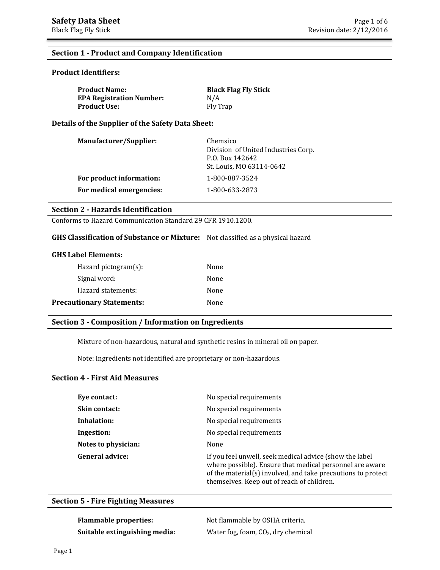## **Section 1 - Product and Company Identification**

## **Product Identifiers:**

| <b>Product Name:</b>            | <b>Black Flag Fly Stick</b> |
|---------------------------------|-----------------------------|
| <b>EPA Registration Number:</b> | N/A                         |
| Product Use:                    | Fly Trap                    |

**Details of the Supplier of the Safety Data Sheet:** 

| <b>Manufacturer/Supplier:</b> | Chemsico<br>Division of United Industries Corp.<br>P.O. Box 142642<br>St. Louis, MO 63114-0642 |
|-------------------------------|------------------------------------------------------------------------------------------------|
| For product information:      | 1-800-887-3524                                                                                 |
| For medical emergencies:      | 1-800-633-2873                                                                                 |

## **Section 2 - Hazards Identification**

Conforms to Hazard Communication Standard 29 CFR 1910.1200.

### **GHS Classification of Substance or Mixture:** Not classified as a physical hazard

| $Hazard$ pictogram $(s)$ :       | None |
|----------------------------------|------|
| Signal word:                     | None |
| Hazard statements:               | None |
| <b>Precautionary Statements:</b> | None |

## **Section 3 - Composition / Information on Ingredients**

Mixture of non-hazardous, natural and synthetic resins in mineral oil on paper.

Note: Ingredients not identified are proprietary or non-hazardous.

#### **Section 4 - First Aid Measures**

| Eye contact:         | No special requirements                                                                                                                                                                                                           |
|----------------------|-----------------------------------------------------------------------------------------------------------------------------------------------------------------------------------------------------------------------------------|
| <b>Skin contact:</b> | No special requirements                                                                                                                                                                                                           |
| Inhalation:          | No special requirements                                                                                                                                                                                                           |
| Ingestion:           | No special requirements                                                                                                                                                                                                           |
| Notes to physician:  | None                                                                                                                                                                                                                              |
| General advice:      | If you feel unwell, seek medical advice (show the label<br>where possible). Ensure that medical personnel are aware<br>of the material(s) involved, and take precautions to protect<br>themselves. Keep out of reach of children. |

### **Section 5 - Fire Fighting Measures**

**Flammable properties:** Not flammable by OSHA criteria. **Suitable extinguishing media:** Water fog, foam, CO<sub>2</sub>, dry chemical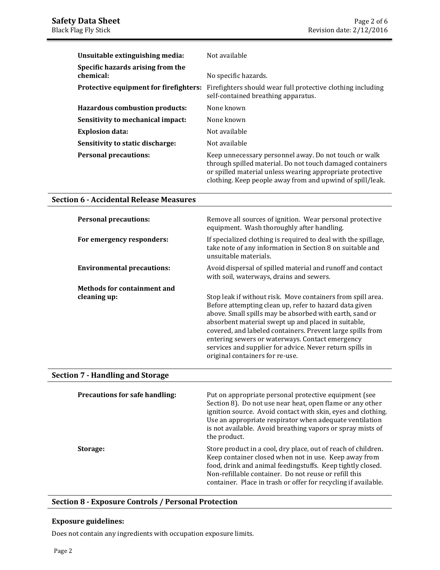| Unsuitable extinguishing media:                | Not available                                                                                                                                                                                                                                |
|------------------------------------------------|----------------------------------------------------------------------------------------------------------------------------------------------------------------------------------------------------------------------------------------------|
| Specific hazards arising from the<br>chemical: | No specific hazards.                                                                                                                                                                                                                         |
| Protective equipment for firefighters:         | Firefighters should wear full protective clothing including<br>self-contained breathing apparatus.                                                                                                                                           |
| <b>Hazardous combustion products:</b>          | None known                                                                                                                                                                                                                                   |
| Sensitivity to mechanical impact:              | None known                                                                                                                                                                                                                                   |
| <b>Explosion data:</b>                         | Not available                                                                                                                                                                                                                                |
| Sensitivity to static discharge:               | Not available                                                                                                                                                                                                                                |
| <b>Personal precautions:</b>                   | Keep unnecessary personnel away. Do not touch or walk<br>through spilled material. Do not touch damaged containers<br>or spilled material unless wearing appropriate protective<br>clothing. Keep people away from and upwind of spill/leak. |

## **Section 6 - Accidental Release Measures**

| <b>Personal precautions:</b>       | Remove all sources of ignition. Wear personal protective<br>equipment. Wash thoroughly after handling.                                                                                                                                                                                                                                                                                                                                                  |
|------------------------------------|---------------------------------------------------------------------------------------------------------------------------------------------------------------------------------------------------------------------------------------------------------------------------------------------------------------------------------------------------------------------------------------------------------------------------------------------------------|
| For emergency responders:          | If specialized clothing is required to deal with the spillage,<br>take note of any information in Section 8 on suitable and<br>unsuitable materials.                                                                                                                                                                                                                                                                                                    |
| <b>Environmental precautions:</b>  | Avoid dispersal of spilled material and runoff and contact<br>with soil, waterways, drains and sewers.                                                                                                                                                                                                                                                                                                                                                  |
| <b>Methods for containment and</b> |                                                                                                                                                                                                                                                                                                                                                                                                                                                         |
| cleaning up:                       | Stop leak if without risk. Move containers from spill area.<br>Before attempting clean up, refer to hazard data given<br>above. Small spills may be absorbed with earth, sand or<br>absorbent material swept up and placed in suitable,<br>covered, and labeled containers. Prevent large spills from<br>entering sewers or waterways. Contact emergency<br>services and supplier for advice. Never return spills in<br>original containers for re-use. |

## **Section 7 - Handling and Storage**

| <b>Precautions for safe handling:</b> | Put on appropriate personal protective equipment (see<br>Section 8). Do not use near heat, open flame or any other<br>ignition source. Avoid contact with skin, eyes and clothing.<br>Use an appropriate respirator when adequate ventilation<br>is not available. Avoid breathing vapors or spray mists of<br>the product. |
|---------------------------------------|-----------------------------------------------------------------------------------------------------------------------------------------------------------------------------------------------------------------------------------------------------------------------------------------------------------------------------|
| Storage:                              | Store product in a cool, dry place, out of reach of children.<br>Keep container closed when not in use. Keep away from<br>food, drink and animal feedingstuffs. Keep tightly closed.<br>Non-refillable container. Do not reuse or refill this<br>container. Place in trash or offer for recycling if available.             |

## **Section 8 - Exposure Controls / Personal Protection**

## **Exposure guidelines:**

Does not contain any ingredients with occupation exposure limits.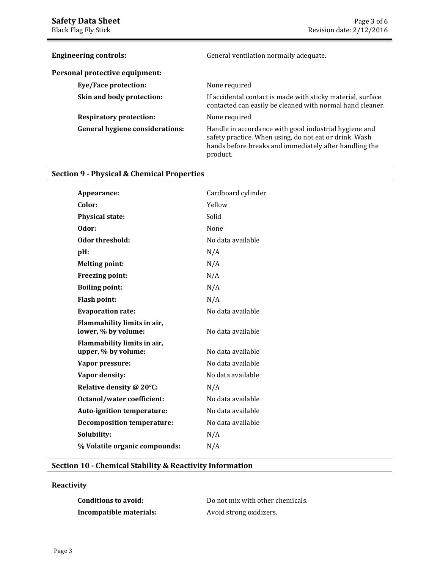| <b>Engineering controls:</b>           | General ventilation normally adequate.                                                                                                                                                |
|----------------------------------------|---------------------------------------------------------------------------------------------------------------------------------------------------------------------------------------|
| Personal protective equipment:         |                                                                                                                                                                                       |
| Eye/Face protection:                   | None required                                                                                                                                                                         |
| Skin and body protection:              | If accidental contact is made with sticky material, surface<br>contacted can easily be cleaned with normal hand cleaner.                                                              |
| <b>Respiratory protection:</b>         | None required                                                                                                                                                                         |
| <b>General hygiene considerations:</b> | Handle in accordance with good industrial hygiene and<br>safety practice. When using, do not eat or drink. Wash<br>hands before breaks and immediately after handling the<br>product. |

# **Section 9 - Physical & Chemical Properties**

| Appearance:                                        | Cardboard cylinder |
|----------------------------------------------------|--------------------|
| Color:                                             | Yellow             |
| <b>Physical state:</b>                             | Solid              |
| Odor:                                              | None               |
| Odor threshold:                                    | No data available  |
| pH:                                                | N/A                |
| <b>Melting point:</b>                              | N/A                |
| <b>Freezing point:</b>                             | N/A                |
| <b>Boiling point:</b>                              | N/A                |
| <b>Flash point:</b>                                | N/A                |
| <b>Evaporation rate:</b>                           | No data available  |
| Flammability limits in air,<br>lower, % by volume: | No data available  |
| Flammability limits in air,<br>upper, % by volume: | No data available  |
| Vapor pressure:                                    | No data available  |
| Vapor density:                                     | No data available  |
| Relative density @ 20°C:                           | N/A                |
| Octanol/water coefficient:                         | No data available  |
| Auto-ignition temperature:                         | No data available  |
| <b>Decomposition temperature:</b>                  | No data available  |
| Solubility:                                        | N/A                |
| % Volatile organic compounds:                      | N/A                |

## **Section 10 - Chemical Stability & Reactivity Information**

## **Reactivity**

| Conditions to avoid:    |  |
|-------------------------|--|
| Incompatible materials: |  |

Do not mix with other chemicals. **Incompatible materials:** Avoid strong oxidizers.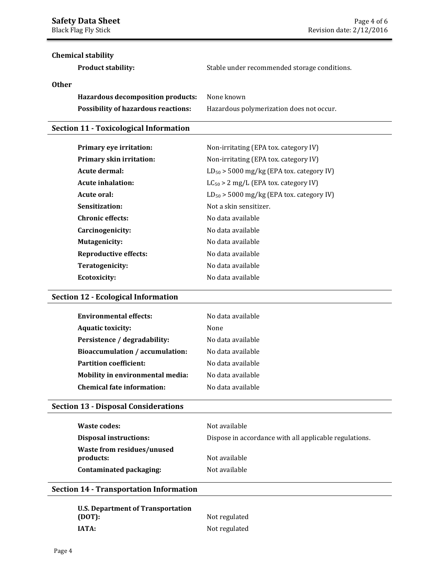# **Chemical stability**

**Product stability:** Stable under recommended storage conditions.

## **Other**

| <b>Hazardous decomposition products:</b>   | None known                               |
|--------------------------------------------|------------------------------------------|
| <b>Possibility of hazardous reactions:</b> | Hazardous polymerization does not occur. |

## **Section 11 - Toxicological Information**

| Primary eye irritation:      | Non-irritating (EPA tox. category IV)         |
|------------------------------|-----------------------------------------------|
| Primary skin irritation:     | Non-irritating (EPA tox. category IV)         |
| Acute dermal:                | $LD_{50}$ > 5000 mg/kg (EPA tox. category IV) |
| Acute inhalation:            | $LC_{50} > 2$ mg/L (EPA tox. category IV)     |
| Acute oral:                  | $LD_{50}$ > 5000 mg/kg (EPA tox. category IV) |
| Sensitization:               | Not a skin sensitizer.                        |
| <b>Chronic effects:</b>      | No data available                             |
| Carcinogenicity:             | No data available                             |
| <b>Mutagenicity:</b>         | No data available                             |
| <b>Reproductive effects:</b> | No data available                             |
| Teratogenicity:              | No data available                             |
| Ecotoxicity:                 | No data available                             |
|                              |                                               |

## **Section 12 - Ecological Information**

| <b>Environmental effects:</b>          | No data available |
|----------------------------------------|-------------------|
| <b>Aquatic toxicity:</b>               | None              |
| Persistence / degradability:           | No data available |
| <b>Bioaccumulation / accumulation:</b> | No data available |
| <b>Partition coefficient:</b>          | No data available |
| Mobility in environmental media:       | No data available |
| <b>Chemical fate information:</b>      | No data available |
|                                        |                   |

# **Section 13 - Disposal Considerations**

| Waste codes:                            | Not available                                          |
|-----------------------------------------|--------------------------------------------------------|
| Disposal instructions:                  | Dispose in accordance with all applicable regulations. |
| Waste from residues/unused<br>products: | Not available                                          |
| Contaminated packaging:                 | Not available                                          |

## **Section 14 - Transportation Information**

| U.S. Department of Transportation |               |  |
|-----------------------------------|---------------|--|
| (DOT):                            | Not regulated |  |
| IATA:                             | Not regulated |  |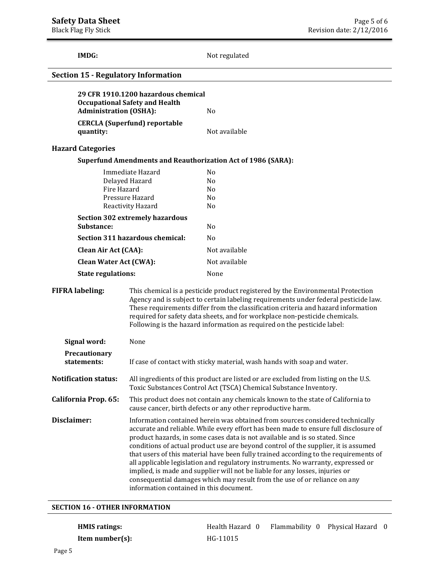**IMDG:** Not regulated **29 CFR 1910.1200 hazardous chemical Occupational Safety and Health Administration (OSHA):** No **CERCLA (Superfund) reportable quantity:** Not available **Hazard Categories Superfund Amendments and Reauthorization Act of 1986 (SARA):**  Immediate Hazard No Delayed Hazard No Fire Hazard No Pressure Hazard No Reactivity Hazard No **Section 302 extremely hazardous**  Substance: No **Section 311 hazardous chemical:** No **Clean Air Act (CAA):** Not available **Clean Water Act (CWA):** Not available **State regulations:** None **FIFRA labeling:** This chemical is a pesticide product registered by the Environmental Protection Agency and is subject to certain labeling requirements under federal pesticide law. These requirements differ from the classification criteria and hazard information required for safety data sheets, and for workplace non-pesticide chemicals. Following is the hazard information as required on the pesticide label: **Signal word:** None **Precautionary statements:** If case of contact with sticky material, wash hands with soap and water. **Notification status:** All ingredients of this product are listed or are excluded from listing on the U.S. Toxic Substances Control Act (TSCA) Chemical Substance Inventory. **Section 15 - Regulatory Information** 

**California Prop. 65:** This product does not contain any chemicals known to the state of California to cause cancer, birth defects or any other reproductive harm.

**Disclaimer: Information contained herein was obtained from sources considered technically** accurate and reliable. While every effort has been made to ensure full disclosure of product hazards, in some cases data is not available and is so stated. Since conditions of actual product use are beyond control of the supplier, it is assumed that users of this material have been fully trained according to the requirements of all applicable legislation and regulatory instruments. No warranty, expressed or implied, is made and supplier will not be liable for any losses, injuries or consequential damages which may result from the use of or reliance on any information contained in this document.

#### **SECTION 16 - OTHER INFORMATION**

# **HMIS ratings:** Thealth Hazard 0 Flammability 0 Physical Hazard 0 **Hammability** 0 Physical Hazard 0 **Item number(s): HG-11015**